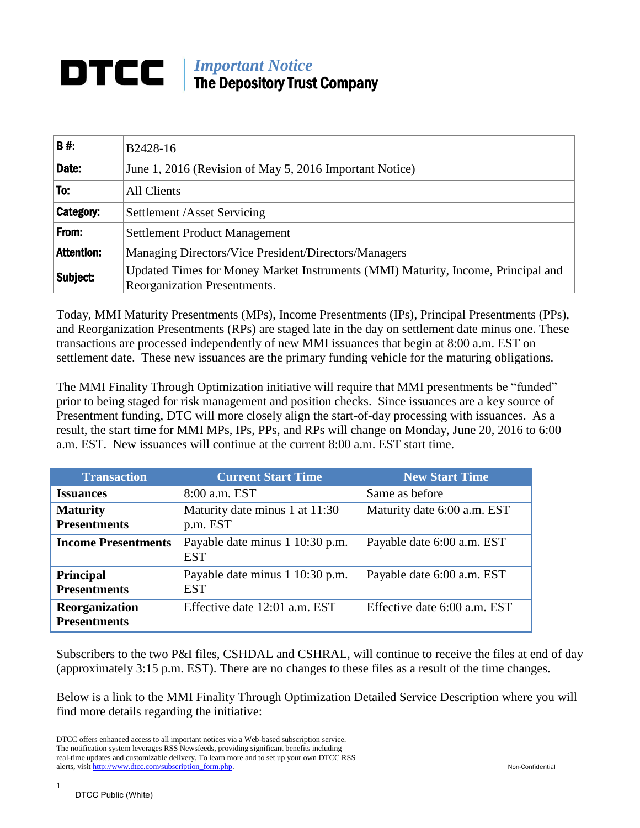## *Important Notice* The Depository Trust Company

| <b>B#</b>         | B2428-16                                                                                                         |  |
|-------------------|------------------------------------------------------------------------------------------------------------------|--|
|                   |                                                                                                                  |  |
| Date:             | June 1, 2016 (Revision of May 5, 2016 Important Notice)                                                          |  |
| To:               | <b>All Clients</b>                                                                                               |  |
| Category:         | Settlement /Asset Servicing                                                                                      |  |
| From:             | <b>Settlement Product Management</b>                                                                             |  |
| <b>Attention:</b> | Managing Directors/Vice President/Directors/Managers                                                             |  |
| Subject:          | Updated Times for Money Market Instruments (MMI) Maturity, Income, Principal and<br>Reorganization Presentments. |  |

Today, MMI Maturity Presentments (MPs), Income Presentments (IPs), Principal Presentments (PPs), and Reorganization Presentments (RPs) are staged late in the day on settlement date minus one. These transactions are processed independently of new MMI issuances that begin at 8:00 a.m. EST on settlement date. These new issuances are the primary funding vehicle for the maturing obligations.

The MMI Finality Through Optimization initiative will require that MMI presentments be "funded" prior to being staged for risk management and position checks. Since issuances are a key source of Presentment funding, DTC will more closely align the start-of-day processing with issuances. As a result, the start time for MMI MPs, IPs, PPs, and RPs will change on Monday, June 20, 2016 to 6:00 a.m. EST. New issuances will continue at the current 8:00 a.m. EST start time.

| <b>Transaction</b>                      | <b>Current Start Time</b>                     | <b>New Start Time</b>        |
|-----------------------------------------|-----------------------------------------------|------------------------------|
| <b>Issuances</b>                        | 8:00 a.m. EST                                 | Same as before               |
| <b>Maturity</b><br><b>Presentments</b>  | Maturity date minus 1 at 11:30<br>p.m. EST    | Maturity date 6:00 a.m. EST  |
| <b>Income Presentments</b>              | Payable date minus 1 10:30 p.m.<br><b>EST</b> | Payable date 6:00 a.m. EST   |
| <b>Principal</b><br><b>Presentments</b> | Payable date minus 1 10:30 p.m.<br><b>EST</b> | Payable date 6:00 a.m. EST   |
| Reorganization<br><b>Presentments</b>   | Effective date 12:01 a.m. EST                 | Effective date 6:00 a.m. EST |

Subscribers to the two P&I files, CSHDAL and CSHRAL, will continue to receive the files at end of day (approximately 3:15 p.m. EST). There are no changes to these files as a result of the time changes.

Below is a link to the MMI Finality Through Optimization Detailed Service Description where you will find more details regarding the initiative:

1

DTCC offers enhanced access to all important notices via a Web-based subscription service. The notification system leverages RSS Newsfeeds, providing significant benefits including real-time updates and customizable delivery. To learn more and to set up your own DTCC RSS alerts, visit [http://www.dtcc.com/subscription\\_form.php.](http://www.dtcc.com/subscription_form.php) Non-Confidential